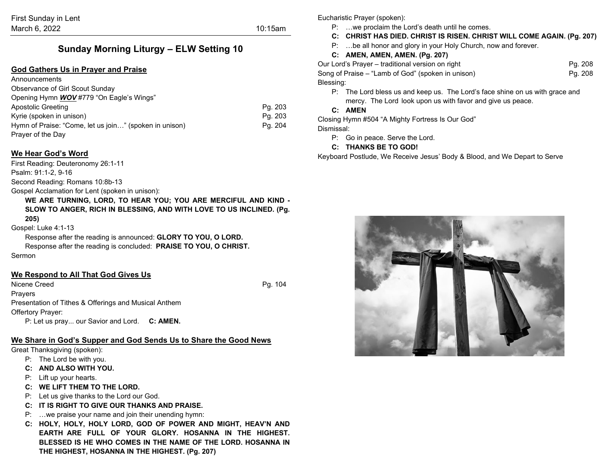# **Sunday Morning Liturgy – ELW Setting 10**

## **God Gathers Us in Prayer and Praise**

| Announcements                                          |         |
|--------------------------------------------------------|---------|
| Observance of Girl Scout Sunday                        |         |
| Opening Hymn <b>WOV</b> #779 "On Eagle's Wings"        |         |
| Apostolic Greeting                                     | Pg. 203 |
| Kyrie (spoken in unison)                               | Pg. 203 |
| Hymn of Praise: "Come, let us join" (spoken in unison) | Pg. 204 |
| Prayer of the Day                                      |         |

# **We Hear God's Word**

First Reading: Deuteronomy 26:1-11

Psalm: 91:1-2, 9-16

Second Reading: Romans 10:8b-13

Gospel Acclamation for Lent (spoken in unison):

**WE ARE TURNING, LORD, TO HEAR YOU; YOU ARE MERCIFUL AND KIND - SLOW TO ANGER, RICH IN BLESSING, AND WITH LOVE TO US INCLINED. (Pg. 205)**

#### Gospel: Luke 4:1-13

Response after the reading is announced: **GLORY TO YOU, O LORD.** Response after the reading is concluded: **PRAISE TO YOU, O CHRIST.** Sermon

## **We Respond to All That God Gives Us**

Nicene Creed Pg. 104 Prayers Presentation of Tithes & Offerings and Musical Anthem Offertory Prayer: P: Let us pray... our Savior and Lord. **C: AMEN.**

#### **We Share in God's Supper and God Sends Us to Share the Good News**

Great Thanksgiving (spoken):

- P: The Lord be with you.
- **C: AND ALSO WITH YOU.**
- P: Lift up your hearts.
- **C: WE LIFT THEM TO THE LORD.**
- P: Let us give thanks to the Lord our God.
- **C: IT IS RIGHT TO GIVE OUR THANKS AND PRAISE.**
- P: …we praise your name and join their unending hymn:
- **C: HOLY, HOLY, HOLY LORD, GOD OF POWER AND MIGHT, HEAV'N AND EARTH ARE FULL OF YOUR GLORY. HOSANNA IN THE HIGHEST. BLESSED IS HE WHO COMES IN THE NAME OF THE LORD. HOSANNA IN THE HIGHEST, HOSANNA IN THE HIGHEST. (Pg. 207)**

Eucharistic Prayer (spoken):

- P: …we proclaim the Lord's death until he comes.
- **C: CHRIST HAS DIED. CHRIST IS RISEN. CHRIST WILL COME AGAIN. (Pg. 207)**
- P: …be all honor and glory in your Holy Church, now and forever.

# **C: AMEN, AMEN, AMEN. (Pg. 207)**

Our Lord's Prayer – traditional version on right Pg. 208 Song of Praise – "Lamb of God" (spoken in unison) example of the Pq. 208 Blessing:

P: The Lord bless us and keep us. The Lord's face shine on us with grace and mercy. The Lord look upon us with favor and give us peace.

### **C: AMEN**

Closing Hymn #504 "A Mighty Fortress Is Our God" Dismissal:

- P: Go in peace. Serve the Lord.
- **C: THANKS BE TO GOD!**

Keyboard Postlude, We Receive Jesus' Body & Blood, and We Depart to Serve

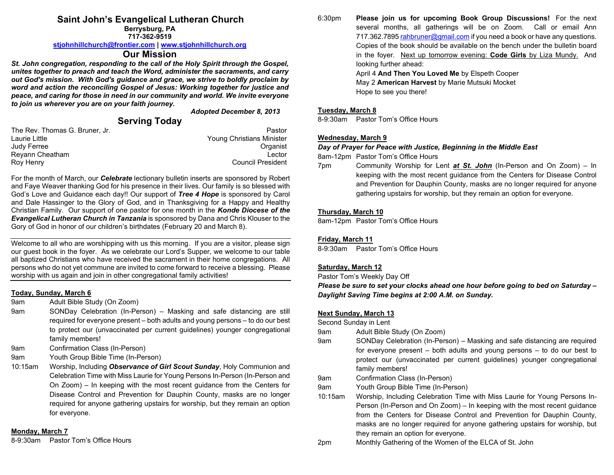# **Saint John's Evangelical Lutheran Church**

**Berrysburg, PA 717-362-9519**

#### **[stjohnhillchurch@frontier.com](mailto:stjohnhillchurch@frontier.com) | [www.stjohnhillchurch.org](http://www.stjohnhillchurch.org/)**

## **Our Mission**

*St. John congregation, responding to the call of the Holy Spirit through the Gospel, unites together to preach and teach the Word, administer the sacraments, and carry out God's mission. With God's guidance and grace, we strive to boldly proclaim by word and action the reconciling Gospel of Jesus: Working together for justice and peace, and caring for those in need in our community and world. We invite everyone to join us wherever you are on your faith journey.*

*Adopted December 8, 2013*

# **Serving Today**

| Pastor                    |
|---------------------------|
| Young Christians Minister |
| Organist                  |
| Lector                    |
| <b>Council President</b>  |
|                           |

For the month of March, our *Celebrate* lectionary bulletin inserts are sponsored by Robert and Faye Weaver thanking God for his presence in their lives. Our family is so blessed with God's Love and Guidance each day!! Our support of *Tree 4 Hope* is sponsored by Carol and Dale Hassinger to the Glory of God, and in Thanksgiving for a Happy and Healthy Christian Family. Our support of one pastor for one month in the *Konde Diocese of the Evangelical Lutheran Church in Tanzania* is sponsored by Dana and Chris Klouser to the Gory of God in honor of our children's birthdates (February 20 and March 8).

Welcome to all who are worshipping with us this morning. If you are a visitor, please sign our guest book in the foyer. As we celebrate our Lord's Supper, we welcome to our table all baptized Christians who have received the sacrament in their home congregations. All persons who do not yet commune are invited to come forward to receive a blessing. Please worship with us again and join in other congregational family activities!

#### **Today, Sunday, March 6**

9am Adult Bible Study (On Zoom)

- 9am SONDay Celebration (In-Person) Masking and safe distancing are still required for everyone present – both adults and young persons – to do our best to protect our (unvaccinated per current guidelines) younger congregational family members!
- 9am Confirmation Class (In-Person)
- 9am Youth Group Bible Time (In-Person)
- 10:15am Worship, Including *Observance of Girl Scout Sunday*, Holy Communion and Celebration Time with Miss Laurie for Young Persons In-Person (In-Person and On Zoom) – In keeping with the most recent guidance from the Centers for Disease Control and Prevention for Dauphin County, masks are no longer required for anyone gathering upstairs for worship, but they remain an option for everyone.

## **Monday, March 7**

8-9:30am Pastor Tom's Office Hours

6:30pm **Please join us for upcoming Book Group Discussions!** For the next several months, all gatherings will be on Zoom. Call or email Ann 717.362.789[5 rahbruner@gmail.com](mailto:rahbruner@gmail.com) if you need a book or have any questions. Copies of the book should be available on the bench under the bulletin board in the foyer. Next up tomorrow evening: **Code Girls** by Liza Mundy. And looking further ahead: April 4 **And Then You Loved Me** by Elspeth Cooper May 2 **American Harvest** by Marie Mutsuki Mocket

Hope to see you there!

#### **Tuesday, March 8**

8-9:30am Pastor Tom's Office Hours

### **Wednesday, March 9**

#### *Day of Prayer for Peace with Justice, Beginning in the Middle East*

8am-12pm Pastor Tom's Office Hours

7pm Community Worship for Lent *at St. John* (In-Person and On Zoom) – In keeping with the most recent guidance from the Centers for Disease Control and Prevention for Dauphin County, masks are no longer required for anyone gathering upstairs for worship, but they remain an option for everyone.

### **Thursday, March 10**

8am-12pm Pastor Tom's Office Hours

### **Friday, March 11**

8-9:30am Pastor Tom's Office Hours

## **Saturday, March 12**

Pastor Tom's Weekly Day Off

*Please be sure to set your clocks ahead one hour before going to bed on Saturday – Daylight Saving Time begins at 2:00 A.M. on Sunday.*

## **Next Sunday, March 13**

Second Sunday in Lent

- 9am Adult Bible Study (On Zoom)
- 9am SONDay Celebration (In-Person) Masking and safe distancing are required for everyone present – both adults and young persons – to do our best to protect our (unvaccinated per current guidelines) younger congregational family members!
- 9am Confirmation Class (In-Person)

9am Youth Group Bible Time (In-Person)

- 10:15am Worship, Including Celebration Time with Miss Laurie for Young Persons In-Person (In-Person and On Zoom) – In keeping with the most recent guidance from the Centers for Disease Control and Prevention for Dauphin County, masks are no longer required for anyone gathering upstairs for worship, but they remain an option for everyone.
- 2pm Monthly Gathering of the Women of the ELCA of St. John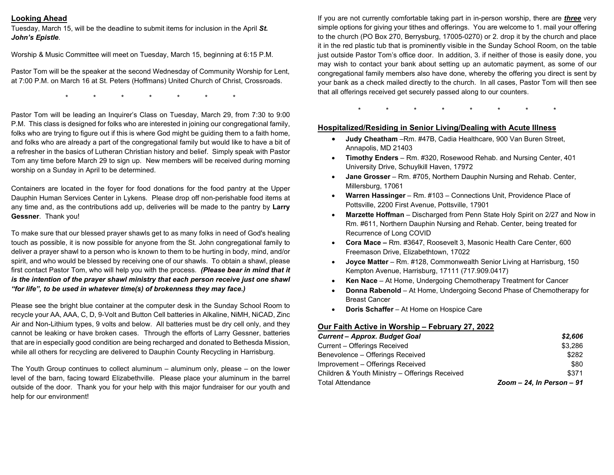# **Looking Ahead**

Tuesday, March 15, will be the deadline to submit items for inclusion in the April *St. John's Epistle*.

Worship & Music Committee will meet on Tuesday, March 15, beginning at 6:15 P.M.

Pastor Tom will be the speaker at the second Wednesday of Community Worship for Lent, at 7:00 P.M. on March 16 at St. Peters (Hoffmans) United Church of Christ, Crossroads.

\* \* \* \* \* \* \*

Pastor Tom will be leading an Inquirer's Class on Tuesday, March 29, from 7:30 to 9:00 P.M. This class is designed for folks who are interested in joining our congregational family, folks who are trying to figure out if this is where God might be guiding them to a faith home, and folks who are already a part of the congregational family but would like to have a bit of a refresher in the basics of Lutheran Christian history and belief. Simply speak with Pastor Tom any time before March 29 to sign up. New members will be received during morning worship on a Sunday in April to be determined.

Containers are located in the foyer for food donations for the food pantry at the Upper Dauphin Human Services Center in Lykens. Please drop off non-perishable food items at any time and, as the contributions add up, deliveries will be made to the pantry by **Larry Gessner**. Thank you!

To make sure that our blessed prayer shawls get to as many folks in need of God's healing touch as possible, it is now possible for anyone from the St. John congregational family to deliver a prayer shawl to a person who is known to them to be hurting in body, mind, and/or spirit, and who would be blessed by receiving one of our shawls. To obtain a shawl, please first contact Pastor Tom, who will help you with the process. *(Please bear in mind that it is the intention of the prayer shawl ministry that each person receive just one shawl "for life", to be used in whatever time(s) of brokenness they may face.)*

Please see the bright blue container at the computer desk in the Sunday School Room to recycle your AA, AAA, C, D, 9-Volt and Button Cell batteries in Alkaline, NiMH, NiCAD, Zinc Air and Non-Lithium types, 9 volts and below. All batteries must be dry cell only, and they cannot be leaking or have broken cases. Through the efforts of Larry Gessner, batteries that are in especially good condition are being recharged and donated to Bethesda Mission, while all others for recycling are delivered to Dauphin County Recycling in Harrisburg.

The Youth Group continues to collect aluminum – aluminum only, please – on the lower level of the barn, facing toward Elizabethville. Please place your aluminum in the barrel outside of the door. Thank you for your help with this major fundraiser for our youth and help for our environment!

If you are not currently comfortable taking part in in-person worship, there are *three* very simple options for giving your tithes and offerings. You are welcome to 1. mail your offering to the church (PO Box 270, Berrysburg, 17005-0270) or 2. drop it by the church and place it in the red plastic tub that is prominently visible in the Sunday School Room, on the table just outside Pastor Tom's office door. In addition, 3. if neither of those is easily done, you may wish to contact your bank about setting up an automatic payment, as some of our congregational family members also have done, whereby the offering you direct is sent by your bank as a check mailed directly to the church. In all cases, Pastor Tom will then see that all offerings received get securely passed along to our counters.

\* \* \* \* \* \* \* \*

### **Hospitalized/Residing in Senior Living/Dealing with Acute Illness**

- **Judy Cheatham** –Rm. #47B, Cadia Healthcare, 900 Van Buren Street, Annapolis, MD 21403
- **Timothy Enders**  Rm. #320, Rosewood Rehab. and Nursing Center, 401 University Drive, Schuylkill Haven, 17972
- **Jane Grosser**  Rm. #705, Northern Dauphin Nursing and Rehab. Center, Millersburg, 17061
- **Warren Hassinger** Rm. #103 Connections Unit, Providence Place of Pottsville, 2200 First Avenue, Pottsville, 17901
- **Marzette Hoffman**  Discharged from Penn State Holy Spirit on 2/27 and Now in Rm. #611, Northern Dauphin Nursing and Rehab. Center, being treated for Recurrence of Long COVID
- **Cora Mace –** Rm. #3647, Roosevelt 3, Masonic Health Care Center, 600 Freemason Drive, Elizabethtown, 17022
- **Joyce Matter**  Rm. #128, Commonwealth Senior Living at Harrisburg, 150 Kempton Avenue, Harrisburg, 17111 (717.909.0417)
- **Ken Nace**  At Home, Undergoing Chemotherapy Treatment for Cancer
- **Donna Rabenold**  At Home, Undergoing Second Phase of Chemotherapy for Breast Cancer
- **Doris Schaffer**  At Home on Hospice Care

#### **Our Faith Active in Worship – February 27, 2022**

| <b>Current - Approx. Budget Goal</b>           | \$2,606                      |
|------------------------------------------------|------------------------------|
| Current - Offerings Received                   | \$3,286                      |
| Benevolence - Offerings Received               | \$282                        |
| Improvement – Offerings Received               | \$80                         |
| Children & Youth Ministry - Offerings Received | \$371                        |
| <b>Total Attendance</b>                        | Zoom $-24$ , In Person $-91$ |